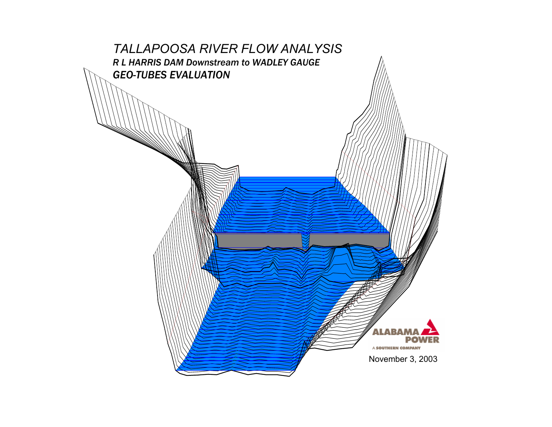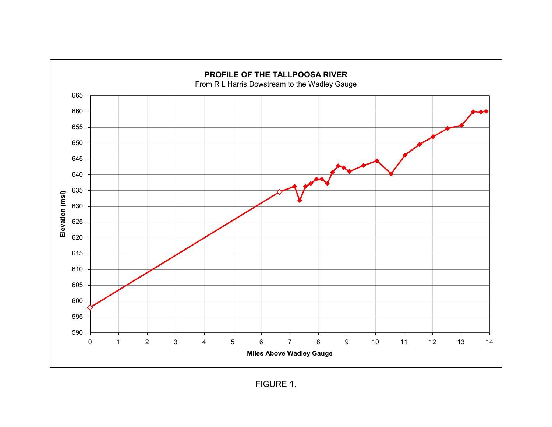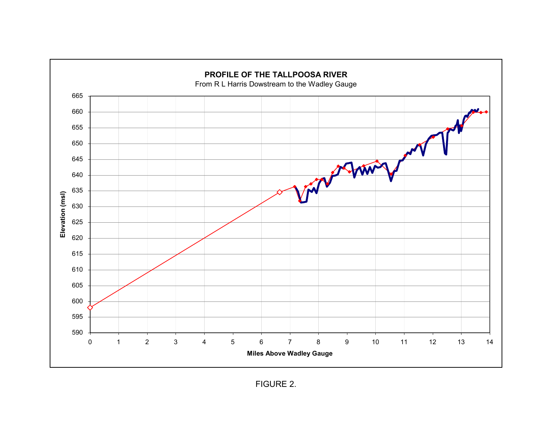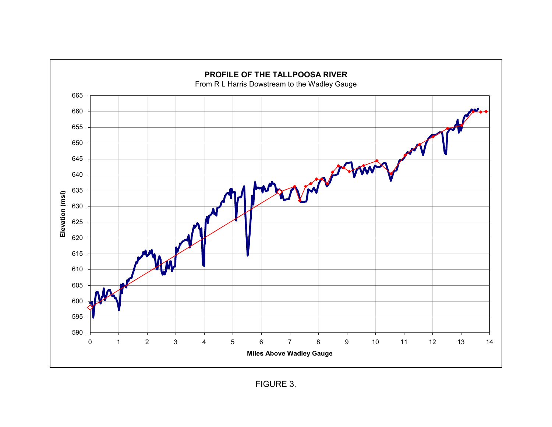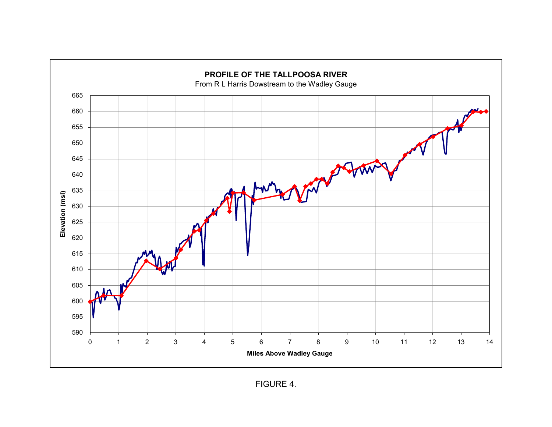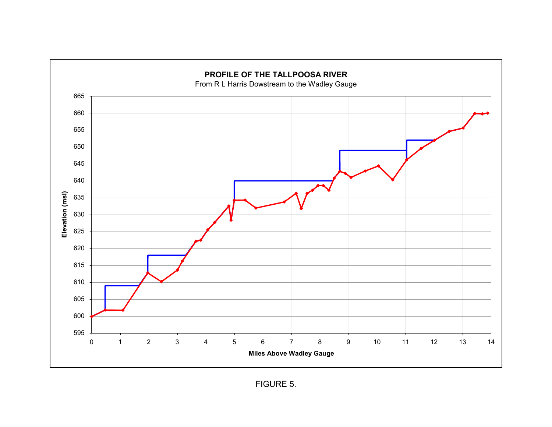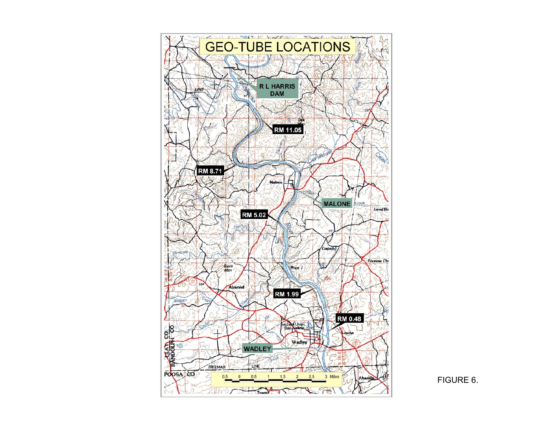

FIGURE 6.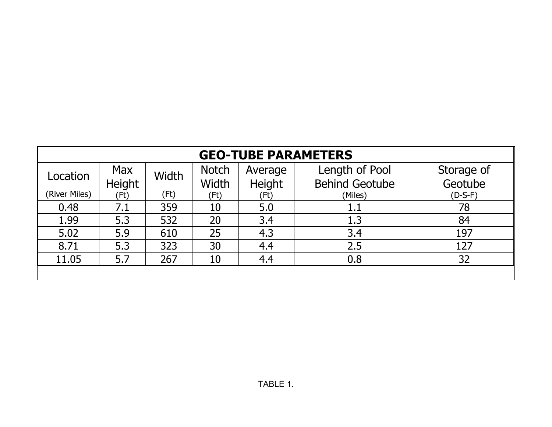|                                                                                     | <b>GEO-TUBE PARAMETERS</b> |      |       |        |                       |           |  |  |  |  |  |  |  |  |  |
|-------------------------------------------------------------------------------------|----------------------------|------|-------|--------|-----------------------|-----------|--|--|--|--|--|--|--|--|--|
| Length of Pool<br>Max<br><b>Notch</b><br>Storage of<br>Average<br>Width<br>Location |                            |      |       |        |                       |           |  |  |  |  |  |  |  |  |  |
|                                                                                     | Height                     |      | Width | Height | <b>Behind Geotube</b> | Geotube   |  |  |  |  |  |  |  |  |  |
| (River Miles)                                                                       | (Ft)                       | (Ft) | (Ft)  | (Ft)   | (Miles)               | $(D-S-F)$ |  |  |  |  |  |  |  |  |  |
| 0.48                                                                                | 7.1                        | 359  | 10    | 5.0    | $1.1\,$               | 78        |  |  |  |  |  |  |  |  |  |
| 1.99                                                                                | 5.3                        | 532  | 20    | 3.4    | 1.3                   | 84        |  |  |  |  |  |  |  |  |  |
| 5.02                                                                                | 5.9                        | 610  | 25    | 4.3    | 3.4                   | 197       |  |  |  |  |  |  |  |  |  |
| 8.71                                                                                | 5.3                        | 323  | 30    | 4.4    | 2.5                   | 127       |  |  |  |  |  |  |  |  |  |
| 11.05                                                                               | 5.7                        | 267  | 10    | 4.4    | 0.8                   | 32        |  |  |  |  |  |  |  |  |  |
|                                                                                     |                            |      |       |        |                       |           |  |  |  |  |  |  |  |  |  |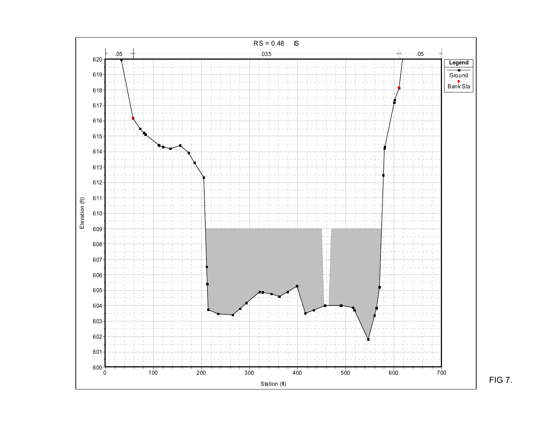

FIG 7.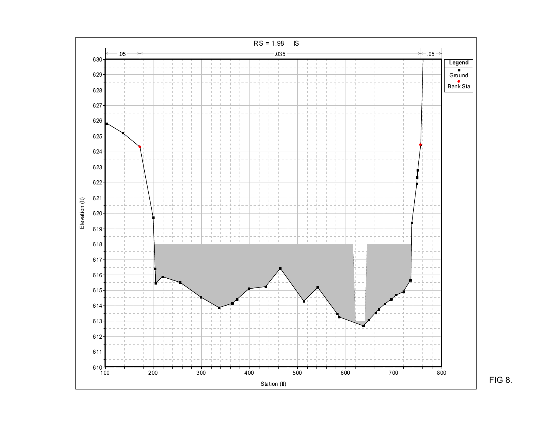

FIG 8.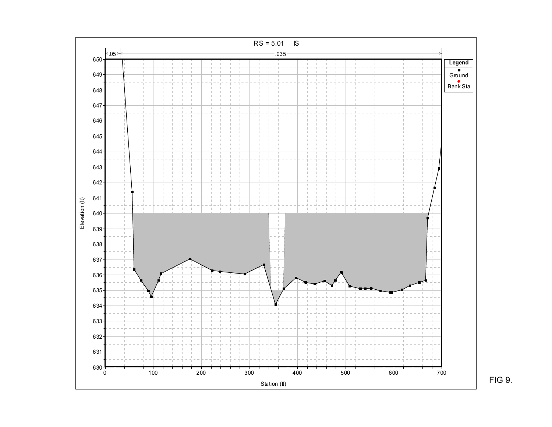

FIG 9.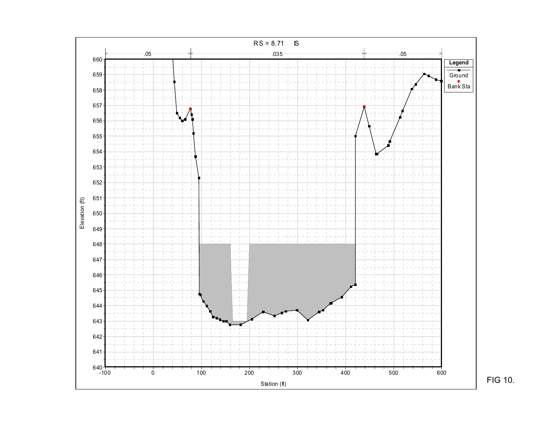

FIG 10.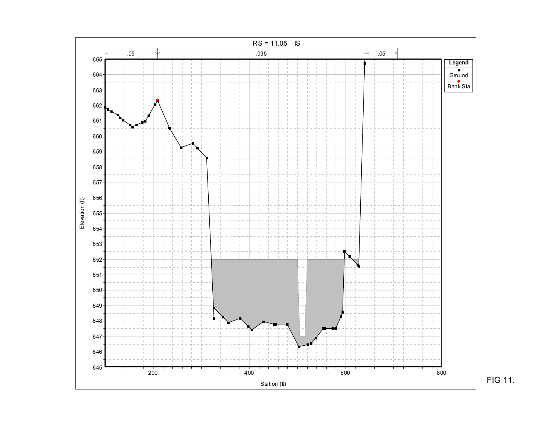

FIG 11.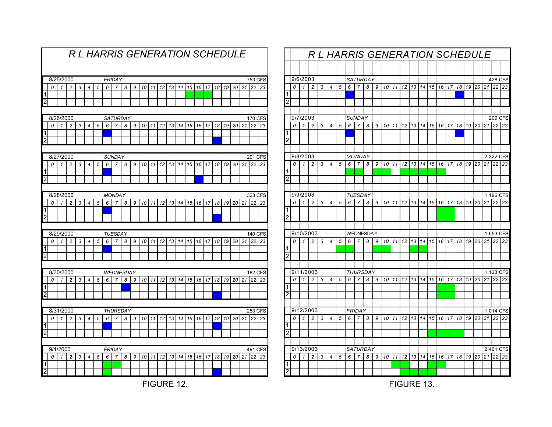|                                  |                                                                                                                                                                                                 |              |                |   |                |   |   |                  |   |   |    |    |                 | <b>RL HARRIS GENERATION SCHEDULE</b> |    |         |    |    |    |    |    |    |                |         |
|----------------------------------|-------------------------------------------------------------------------------------------------------------------------------------------------------------------------------------------------|--------------|----------------|---|----------------|---|---|------------------|---|---|----|----|-----------------|--------------------------------------|----|---------|----|----|----|----|----|----|----------------|---------|
|                                  |                                                                                                                                                                                                 |              |                |   |                |   |   |                  |   |   |    |    |                 |                                      |    |         |    |    |    |    |    |    |                |         |
|                                  |                                                                                                                                                                                                 | 8/25/2000    |                |   |                |   |   | <b>FRIDAY</b>    |   |   |    |    |                 |                                      |    |         |    |    |    |    |    |    | <b>753 CFS</b> |         |
|                                  | 0                                                                                                                                                                                               | 1            | $\overline{c}$ | 3 | $\overline{4}$ | 5 | 6 | $\overline{7}$   | 8 | 9 | 10 | 11 | 12              | 13                                   | 14 | 15      | 16 | 17 | 18 | 19 | 20 | 21 |                | $22$ 23 |
| $\overline{1}$                   |                                                                                                                                                                                                 |              |                |   |                |   |   |                  |   |   |    |    |                 |                                      |    |         |    |    |    |    |    |    |                |         |
| $\overline{2}$                   |                                                                                                                                                                                                 |              |                |   |                |   |   |                  |   |   |    |    |                 |                                      |    |         |    |    |    |    |    |    |                |         |
|                                  |                                                                                                                                                                                                 |              |                |   |                |   |   |                  |   |   |    |    |                 |                                      |    |         |    |    |    |    |    |    |                |         |
|                                  |                                                                                                                                                                                                 | 8/26/2000    |                |   |                |   |   | <b>SATURDAY</b>  |   |   |    |    |                 |                                      |    |         |    |    |    |    |    |    | <b>170 CFS</b> |         |
|                                  | 0                                                                                                                                                                                               | $\mathbf{1}$ | $\overline{c}$ | 3 | $\overline{4}$ | 5 | 6 | $\overline{7}$   | 8 | 9 | 10 | 11 | 12              | 13                                   | 14 | 15      | 16 | 17 | 18 | 19 | 20 | 21 | 22             | 23      |
| $\overline{1}$                   |                                                                                                                                                                                                 |              |                |   |                |   |   |                  |   |   |    |    |                 |                                      |    |         |    |    |    |    |    |    |                |         |
| $\overline{2}$                   |                                                                                                                                                                                                 |              |                |   |                |   |   |                  |   |   |    |    |                 |                                      |    |         |    |    |    |    |    |    |                |         |
|                                  |                                                                                                                                                                                                 |              |                |   |                |   |   |                  |   |   |    |    |                 |                                      |    |         |    |    |    |    |    |    |                |         |
|                                  | 8/27/2000<br><b>SUNDAY</b><br>201 CFS<br>22<br>20<br>21<br>1<br>$\overline{c}$<br>3<br>5<br>6<br>7<br>11<br>12<br>13<br>14<br>15<br>16<br>17<br>18<br>19<br>0<br>$\overline{4}$<br>8<br>9<br>10 |              |                |   |                |   |   |                  |   |   |    |    |                 |                                      |    |         |    |    |    |    |    |    |                |         |
|                                  |                                                                                                                                                                                                 |              |                |   |                |   |   |                  |   |   |    |    |                 |                                      |    |         |    |    |    |    |    |    |                | 23      |
| 1                                |                                                                                                                                                                                                 |              |                |   |                |   |   |                  |   |   |    |    |                 |                                      |    |         |    |    |    |    |    |    |                |         |
| $\overline{2}$                   |                                                                                                                                                                                                 |              |                |   |                |   |   |                  |   |   |    |    |                 |                                      |    |         |    |    |    |    |    |    |                |         |
|                                  |                                                                                                                                                                                                 |              |                |   |                |   |   |                  |   |   |    |    |                 |                                      |    |         |    |    |    |    |    |    |                |         |
|                                  | 8/28/2000<br><b>MONDAY</b><br>3<br>5<br>6<br>14<br>15<br>19<br>20<br>21<br>0<br>1<br>$\overline{c}$<br>7<br>8<br>9<br>10<br>11<br>12<br>13<br>16<br>17<br>18<br>4                               |              |                |   |                |   |   |                  |   |   |    |    |                 |                                      |    | 323 CFS |    |    |    |    |    |    |                |         |
|                                  |                                                                                                                                                                                                 |              |                |   |                |   |   |                  |   |   |    |    |                 |                                      |    |         |    |    |    |    |    |    | 22             | 23      |
| $\vert$ 1                        |                                                                                                                                                                                                 |              |                |   |                |   |   |                  |   |   |    |    |                 |                                      |    |         |    |    |    |    |    |    |                |         |
| $\overline{2}$                   |                                                                                                                                                                                                 |              |                |   |                |   |   |                  |   |   |    |    |                 |                                      |    |         |    |    |    |    |    |    |                |         |
|                                  |                                                                                                                                                                                                 |              |                |   |                |   |   |                  |   |   |    |    |                 |                                      |    |         |    |    |    |    |    |    |                |         |
|                                  |                                                                                                                                                                                                 | 8/29/2000    |                |   |                |   |   | <b>TUESDAY</b>   |   |   |    |    |                 |                                      |    |         |    |    |    |    |    |    | <b>140 CFS</b> |         |
|                                  | 0                                                                                                                                                                                               | 1            | $\overline{c}$ | 3 | $\overline{4}$ | 5 | 6 | $\overline{7}$   | 8 | 9 | 10 | 11 | 12              | 13                                   | 14 | 15      | 16 | 17 | 18 | 19 | 20 | 21 | 22             | 23      |
| $\overline{1}$<br>$\overline{2}$ |                                                                                                                                                                                                 |              |                |   |                |   |   |                  |   |   |    |    |                 |                                      |    |         |    |    |    |    |    |    |                |         |
|                                  |                                                                                                                                                                                                 |              |                |   |                |   |   |                  |   |   |    |    |                 |                                      |    |         |    |    |    |    |    |    |                |         |
|                                  |                                                                                                                                                                                                 | 8/30/2000    |                |   |                |   |   | <b>WEDNESDAY</b> |   |   |    |    |                 |                                      |    |         |    |    |    |    |    |    | <b>182 CFS</b> |         |
|                                  | 0                                                                                                                                                                                               | 1            | $\overline{c}$ | 3 | $\overline{4}$ | 5 | 6 | 7                | 8 | 9 | 10 | 11 | 12              | 13                                   | 14 | 15      | 16 | 17 | 18 | 19 | 20 | 21 | 22             | 23      |
| $\overline{1}$                   |                                                                                                                                                                                                 |              |                |   |                |   |   |                  |   |   |    |    |                 |                                      |    |         |    |    |    |    |    |    |                |         |
| $\overline{2}$                   |                                                                                                                                                                                                 |              |                |   |                |   |   |                  |   |   |    |    |                 |                                      |    |         |    |    |    |    |    |    |                |         |
|                                  |                                                                                                                                                                                                 |              |                |   |                |   |   |                  |   |   |    |    |                 |                                      |    |         |    |    |    |    |    |    |                |         |
|                                  |                                                                                                                                                                                                 | 8/31/2000    |                |   |                |   |   | <b>THURSDAY</b>  |   |   |    |    |                 |                                      |    |         |    |    |    |    |    |    | 253 CFS        |         |
|                                  | 0                                                                                                                                                                                               | 1            | $\overline{c}$ | 3 | 4              | 5 | 6 | $\overline{7}$   | 8 | 9 | 10 | 11 | 12              | 13                                   | 14 | 15      | 16 | 17 | 18 | 19 | 20 | 21 | 22             | 23      |
| $\overline{1}$                   |                                                                                                                                                                                                 |              |                |   |                |   |   |                  |   |   |    |    |                 |                                      |    |         |    |    |    |    |    |    |                |         |
| $\overline{2}$                   |                                                                                                                                                                                                 |              |                |   |                |   |   |                  |   |   |    |    |                 |                                      |    |         |    |    |    |    |    |    |                |         |
|                                  |                                                                                                                                                                                                 |              |                |   |                |   |   |                  |   |   |    |    |                 |                                      |    |         |    |    |    |    |    |    |                |         |
|                                  |                                                                                                                                                                                                 | 9/1/2000     |                |   |                |   |   | <b>FRIDAY</b>    |   |   |    |    |                 |                                      |    |         |    |    |    |    |    |    | 491 CFS        |         |
|                                  | 0                                                                                                                                                                                               | $\mathbf{1}$ | $\overline{c}$ | 3 | $\overline{4}$ | 5 | 6 | $\overline{7}$   | 8 | 9 | 10 | 11 | 12 <sup>1</sup> | 13                                   | 14 | 15      | 16 | 17 | 18 | 19 | 20 | 21 |                | $22$ 23 |
| 1                                |                                                                                                                                                                                                 |              |                |   |                |   |   |                  |   |   |    |    |                 |                                      |    |         |    |    |    |    |    |    |                |         |
| $\overline{2}$                   |                                                                                                                                                                                                 |              |                |   |                |   |   |                  |   |   |    |    |                 |                                      |    |         |    |    |    |    |    |    |                |         |
|                                  |                                                                                                                                                                                                 |              |                |   |                |   |   |                  |   |   |    |    |                 |                                      |    |         |    |    |    |    |    |    |                |         |

| R L HARRIS GENERATION SCHEDULE |   |              |                |   |                |   |   |                  |   |   |                 |    |                      |    |       |    |       |    |       |    |    |    |                |    |
|--------------------------------|---|--------------|----------------|---|----------------|---|---|------------------|---|---|-----------------|----|----------------------|----|-------|----|-------|----|-------|----|----|----|----------------|----|
|                                |   |              |                |   |                |   |   |                  |   |   |                 |    |                      |    |       |    |       |    |       |    |    |    |                |    |
|                                |   | 9/6/2003     |                |   |                |   |   | SATURDAY         |   |   |                 |    |                      |    |       |    |       |    |       |    |    |    | 428 CFS        |    |
|                                | 0 | $\mathbf{1}$ | $\overline{c}$ | 3 | 4              | 5 | 6 | $\overline{7}$   | 8 | 9 | 10              | 11 | 12                   | 13 | 14    | 15 | 16    | 17 | 18    | 19 | 20 | 21 | 22             | 23 |
| 1                              |   |              |                |   |                |   |   |                  |   |   |                 |    |                      |    |       |    |       |    |       |    |    |    |                |    |
| 2                              |   |              |                |   |                |   |   |                  |   |   |                 |    |                      |    |       |    |       |    |       |    |    |    |                |    |
|                                |   |              |                |   |                |   |   |                  |   |   |                 |    |                      |    |       |    |       |    |       |    |    |    |                |    |
|                                |   | 9/7/2003     |                |   |                |   |   | <b>SUNDAY</b>    |   |   |                 |    |                      |    |       |    |       |    |       |    |    |    | <b>209 CFS</b> |    |
|                                | 0 | $\mathbf{1}$ | 2              | 3 | 4              | 5 | 6 | $\overline{7}$   | 8 | 9 |                 |    | 10 11 12 13 14 15 16 |    |       |    |       |    | 17 18 | 19 | 20 |    | 21 22 23       |    |
| 1                              |   |              |                |   |                |   |   |                  |   |   |                 |    |                      |    |       |    |       |    |       |    |    |    |                |    |
| 2                              |   |              |                |   |                |   |   |                  |   |   |                 |    |                      |    |       |    |       |    |       |    |    |    |                |    |
|                                |   |              |                |   |                |   |   |                  |   |   |                 |    |                      |    |       |    |       |    |       |    |    |    |                |    |
|                                |   | 9/8/2003     |                |   |                |   |   | <b>MONDAY</b>    |   |   |                 |    |                      |    |       |    |       |    |       |    |    |    | 2,322 CFS      |    |
| 1                              | 0 | $\mathbf{1}$ | $\overline{c}$ | 3 | $\overline{4}$ | 5 | 6 | $\overline{7}$   | 8 | 9 | 10              | 11 | 12                   | 13 | 14    | 15 | 16    | 17 | 18    | 19 | 20 | 21 | 22             | 23 |
| 2                              |   |              |                |   |                |   |   |                  |   |   |                 |    |                      |    |       |    |       |    |       |    |    |    |                |    |
|                                |   |              |                |   |                |   |   |                  |   |   |                 |    |                      |    |       |    |       |    |       |    |    |    |                |    |
|                                |   | 9/9/2003     |                |   |                |   |   | TUESDAY          |   |   |                 |    |                      |    |       |    |       |    |       |    |    |    | 1,196 CFS      |    |
|                                | 0 | $\mathbf{1}$ | $\overline{c}$ | 3 | 4              | 5 | 6 | $\overline{7}$   | 8 | 9 | 10              | 11 | 12                   | 13 | 14    |    | 15 16 | 17 | 18    | 19 | 20 | 21 | 22             | 23 |
| 1                              |   |              |                |   |                |   |   |                  |   |   |                 |    |                      |    |       |    |       |    |       |    |    |    |                |    |
| $\overline{2}$                 |   |              |                |   |                |   |   |                  |   |   |                 |    |                      |    |       |    |       |    |       |    |    |    |                |    |
|                                |   |              |                |   |                |   |   |                  |   |   |                 |    |                      |    |       |    |       |    |       |    |    |    |                |    |
|                                |   | 9/10/2003    |                |   |                |   |   | <b>WEDNESDAY</b> |   |   |                 |    |                      |    |       |    |       |    |       |    |    |    | 1,653 CFS      |    |
|                                | 0 | 1            | $\overline{c}$ | 3 | 4              | 5 | 6 | 7                | 8 | 9 | 10 <sup>1</sup> | 11 | 12                   |    | 13 14 | 15 | 16    | 17 | 18    | 19 | 20 | 21 | 22             | 23 |
| 1                              |   |              |                |   |                |   |   |                  |   |   |                 |    |                      |    |       |    |       |    |       |    |    |    |                |    |
| 2                              |   |              |                |   |                |   |   |                  |   |   |                 |    |                      |    |       |    |       |    |       |    |    |    |                |    |
|                                |   |              |                |   |                |   |   |                  |   |   |                 |    |                      |    |       |    |       |    |       |    |    |    |                |    |
|                                |   | 9/11/2003    |                |   |                |   |   | <b>THURSDAY</b>  |   |   |                 |    |                      |    |       |    |       |    |       |    |    |    | 1,123 CFS      |    |
|                                | 0 | $\mathbf{1}$ | $\overline{c}$ | 3 | $\overline{4}$ | 5 | 6 | $\overline{7}$   | 8 | 9 | 10              | 11 | 12                   | 13 | 14    | 15 | 16    | 17 | 18    | 19 | 20 | 21 | 22             | 23 |
| 1<br>2                         |   |              |                |   |                |   |   |                  |   |   |                 |    |                      |    |       |    |       |    |       |    |    |    |                |    |
|                                |   |              |                |   |                |   |   |                  |   |   |                 |    |                      |    |       |    |       |    |       |    |    |    |                |    |
|                                |   | 9/12/2003    |                |   |                |   |   | FRIDAY           |   |   |                 |    |                      |    |       |    |       |    |       |    |    |    | 1,014 CFS      |    |
|                                | 0 | $\mathbf{1}$ | $\overline{c}$ | 3 | 4              | 5 | 6 | $\overline{7}$   | 8 | 9 | 10              | 11 | 12                   | 13 | 14    | 15 | 16    | 17 | 18    | 19 | 20 | 21 | 22             | 23 |
| 1                              |   |              |                |   |                |   |   |                  |   |   |                 |    |                      |    |       |    |       |    |       |    |    |    |                |    |
| $\overline{2}$                 |   |              |                |   |                |   |   |                  |   |   |                 |    |                      |    |       |    |       |    |       |    |    |    |                |    |
|                                |   |              |                |   |                |   |   |                  |   |   |                 |    |                      |    |       |    |       |    |       |    |    |    |                |    |
|                                |   | 9/13/2003    |                |   |                |   |   | SATURDAY         |   |   |                 |    |                      |    |       |    |       |    |       |    |    |    | 2,461 CFS      |    |
|                                | 0 | 1            | 2              | 3 | 4              | 5 | 6 | 7                | 8 | 9 | 10              | 11 | 12                   | 13 | 14    | 15 | 16    | 17 | 18    | 19 | 20 | 21 | 22             | 23 |
|                                |   |              |                |   |                |   |   |                  |   |   |                 |    |                      |    |       |    |       |    |       |    |    |    |                |    |
| 2                              |   |              |                |   |                |   |   |                  |   |   |                 |    |                      |    |       |    |       |    |       |    |    |    |                |    |

FIGURE 12.

FIGURE 13.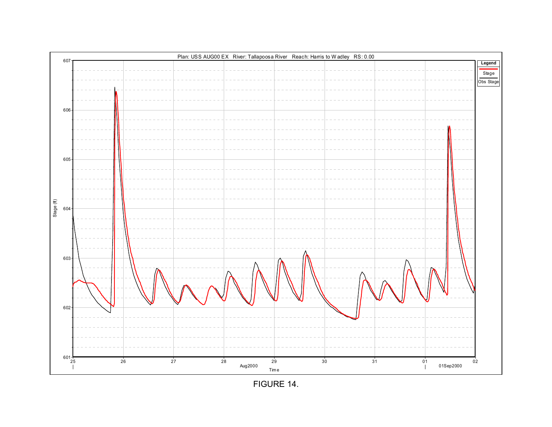FIGURE 14.

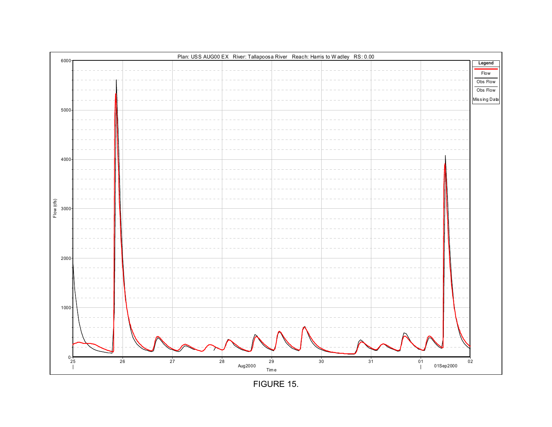

FIGURE 15.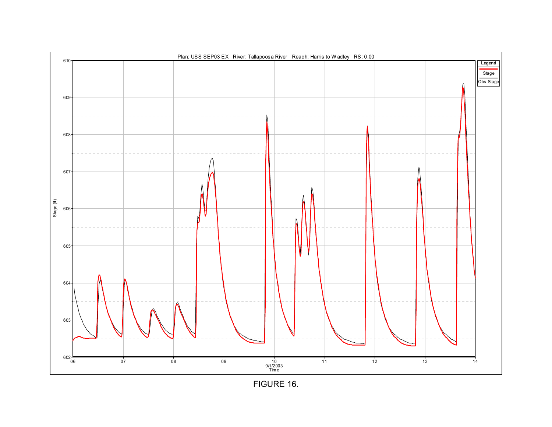

FIGURE 16.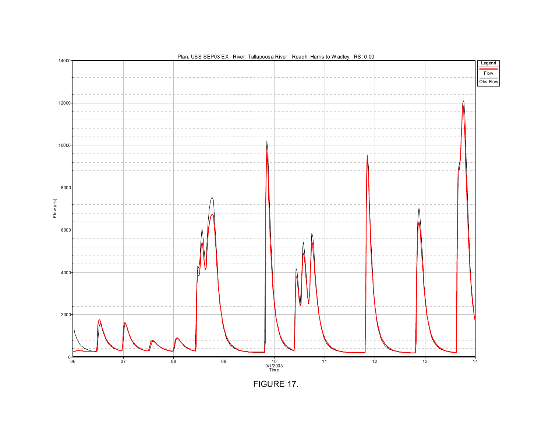

FIGURE 17.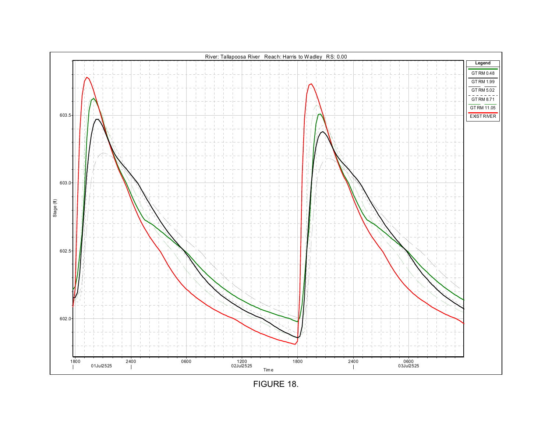

FIGURE 18.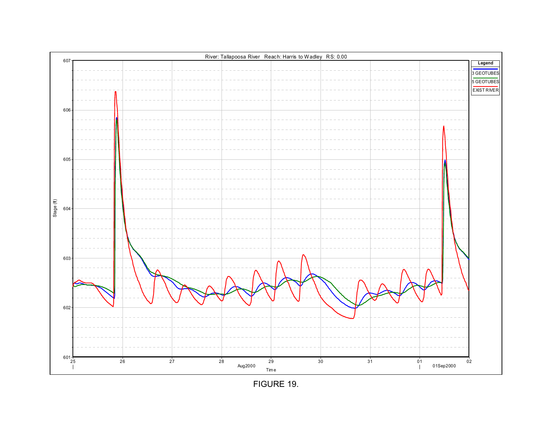FIGURE 19.

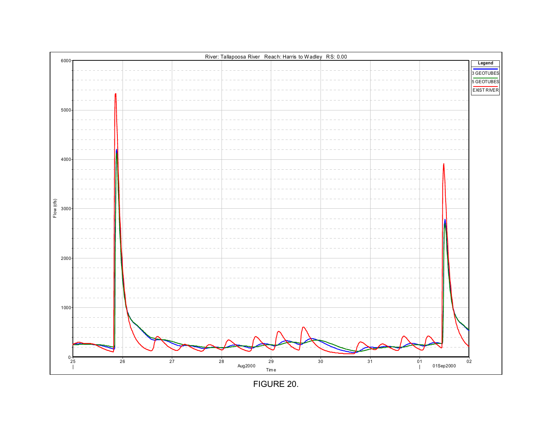

FIGURE 20.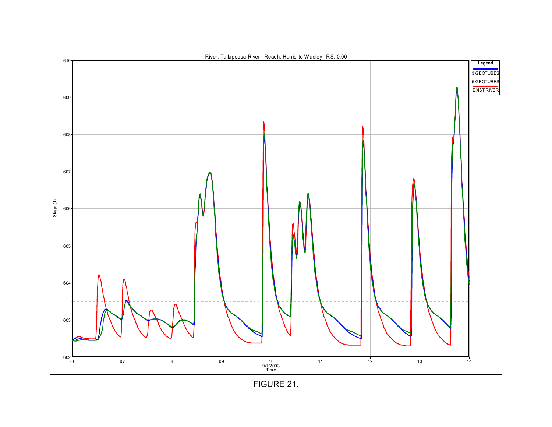

FIGURE 21.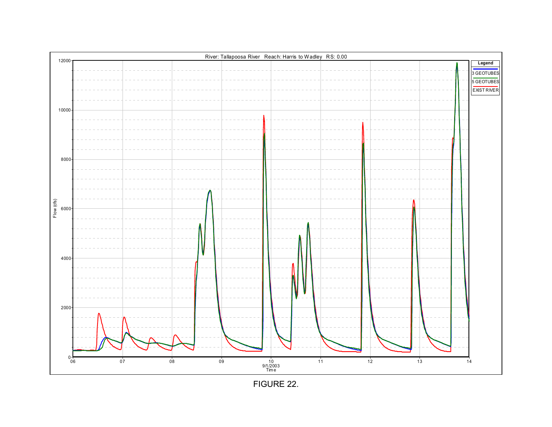

FIGURE 22.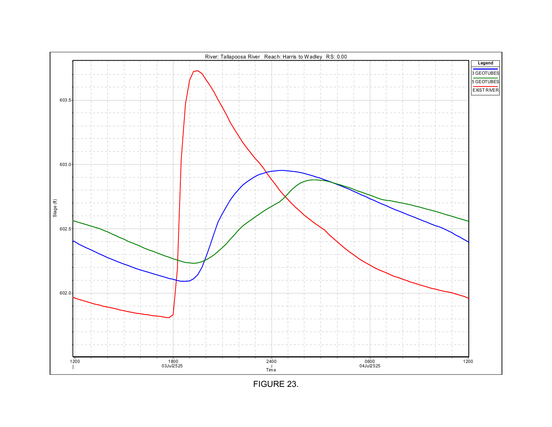

FIGURE 23.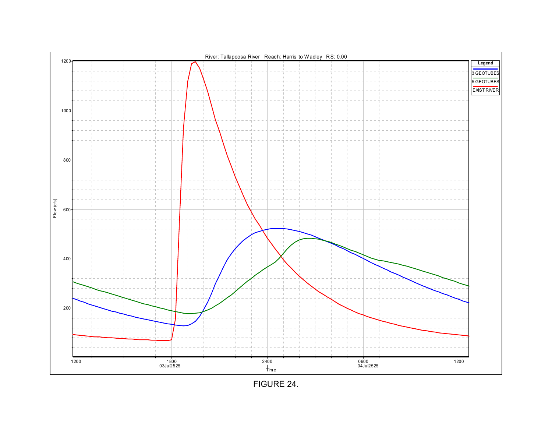

FIGURE 24.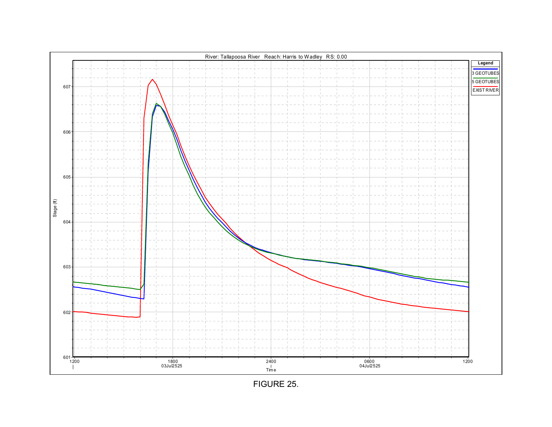

FIGURE 25.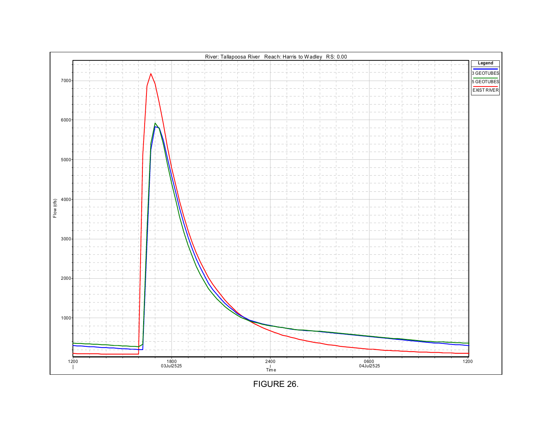

FIGURE 26.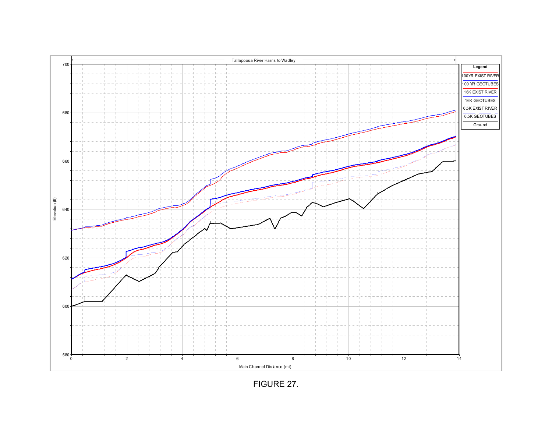

FIGURE 27.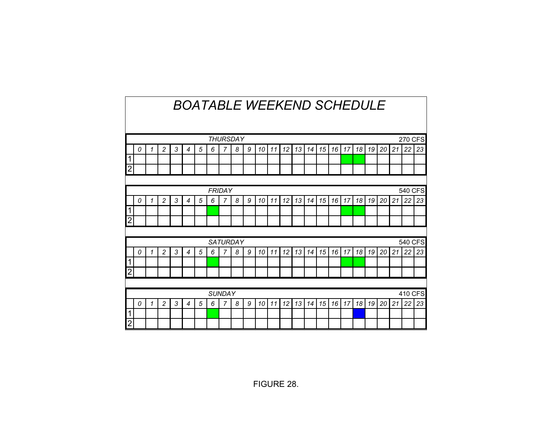|                                   | <b>BOATABLE WEEKEND SCHEDULE</b>                                                                                                                 |   |                |   |                |   |   |               |                 |   |    |    |    |    |    |    |    |    |    |    |    |    |               |    |
|-----------------------------------|--------------------------------------------------------------------------------------------------------------------------------------------------|---|----------------|---|----------------|---|---|---------------|-----------------|---|----|----|----|----|----|----|----|----|----|----|----|----|---------------|----|
| <b>270 CFS</b><br><b>THURSDAY</b> |                                                                                                                                                  |   |                |   |                |   |   |               |                 |   |    |    |    |    |    |    |    |    |    |    |    |    |               |    |
|                                   | $\overline{c}$<br>3<br>5<br>7<br>8<br>15<br>18<br>20<br>21<br>6<br>9<br>12<br>13<br>16<br>17<br>19<br>0<br>$\overline{4}$<br>10<br>14<br>1<br>11 |   |                |   |                |   |   |               |                 |   |    |    |    |    |    | 22 | 23 |    |    |    |    |    |               |    |
| 1                                 |                                                                                                                                                  |   |                |   |                |   |   |               |                 |   |    |    |    |    |    |    |    |    |    |    |    |    |               |    |
| $\overline{2}$                    |                                                                                                                                                  |   |                |   |                |   |   |               |                 |   |    |    |    |    |    |    |    |    |    |    |    |    |               |    |
|                                   |                                                                                                                                                  |   |                |   |                |   |   |               |                 |   |    |    |    |    |    |    |    |    |    |    |    |    |               |    |
|                                   | 540 CFS<br><b>FRIDAY</b>                                                                                                                         |   |                |   |                |   |   |               |                 |   |    |    |    |    |    |    |    |    |    |    |    |    |               |    |
|                                   | 21<br>22<br>$\overline{2}$<br>3<br>5<br>6<br>7<br>8<br>9<br>12<br>13<br>15<br>16<br>18<br>20<br>10<br>17<br>19<br>1<br>4<br>11<br>14<br>0        |   |                |   |                |   |   |               |                 |   |    |    |    |    |    | 23 |    |    |    |    |    |    |               |    |
|                                   |                                                                                                                                                  |   |                |   |                |   |   |               |                 |   |    |    |    |    |    |    |    |    |    |    |    |    |               |    |
| 2                                 |                                                                                                                                                  |   |                |   |                |   |   |               |                 |   |    |    |    |    |    |    |    |    |    |    |    |    |               |    |
|                                   |                                                                                                                                                  |   |                |   |                |   |   |               |                 |   |    |    |    |    |    |    |    |    |    |    |    |    |               |    |
|                                   |                                                                                                                                                  |   |                |   |                |   |   |               | <b>SATURDAY</b> |   |    |    |    |    |    |    |    |    |    |    |    |    | 540 CFS       |    |
|                                   | 0                                                                                                                                                | 1 | $\overline{c}$ | 3 | 4              | 5 | 6 | 7             | 8               | 9 | 10 | 11 | 12 | 13 | 14 | 15 | 16 | 17 | 18 | 19 | 20 | 21 | 22            | 23 |
| 1<br>$\overline{2}$               |                                                                                                                                                  |   |                |   |                |   |   |               |                 |   |    |    |    |    |    |    |    |    |    |    |    |    |               |    |
|                                   |                                                                                                                                                  |   |                |   |                |   |   |               |                 |   |    |    |    |    |    |    |    |    |    |    |    |    |               |    |
|                                   |                                                                                                                                                  |   |                |   |                |   |   | <b>SUNDAY</b> |                 |   |    |    |    |    |    |    |    |    |    |    |    |    |               |    |
|                                   | 0                                                                                                                                                | 1 | $\overline{2}$ | 3 | $\overline{4}$ | 5 | 6 | 7             | 8               | 9 | 10 | 11 | 12 | 13 | 14 | 15 | 16 | 17 | 18 | 19 | 20 | 21 | 410 CFS<br>22 | 23 |
| 1                                 |                                                                                                                                                  |   |                |   |                |   |   |               |                 |   |    |    |    |    |    |    |    |    |    |    |    |    |               |    |
| $\overline{2}$                    |                                                                                                                                                  |   |                |   |                |   |   |               |                 |   |    |    |    |    |    |    |    |    |    |    |    |    |               |    |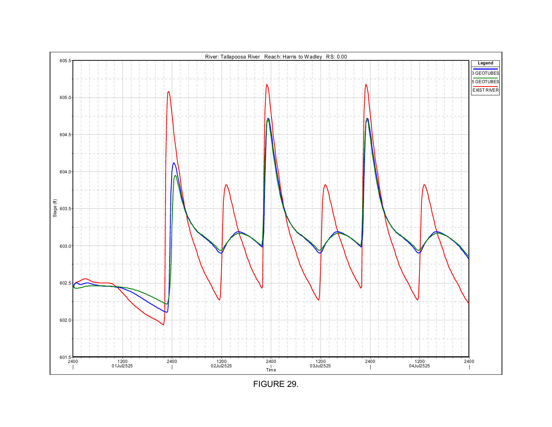FIGURE 29.

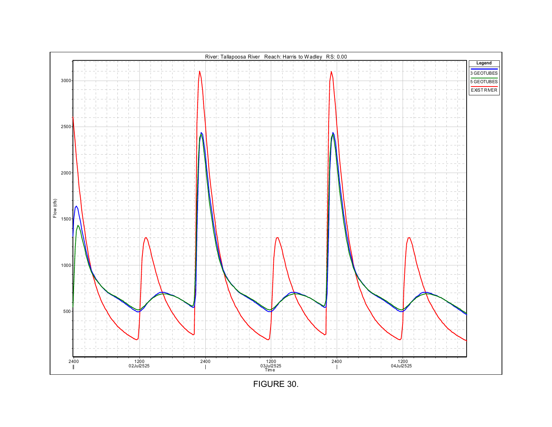

FIGURE 30.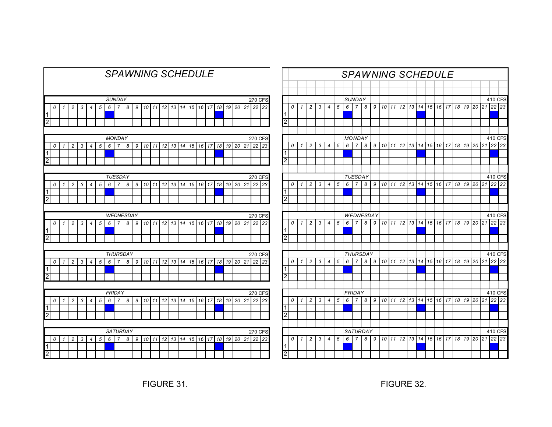|                |                                                                                                                                                                                    |              |                |   |                |   |   |                                 |   |   |    |     |    |    |    | <b>SPAWNING SCHEDULE</b> |    |    |        |    |    |    |                |    |
|----------------|------------------------------------------------------------------------------------------------------------------------------------------------------------------------------------|--------------|----------------|---|----------------|---|---|---------------------------------|---|---|----|-----|----|----|----|--------------------------|----|----|--------|----|----|----|----------------|----|
|                | <b>SUNDAY</b><br>270 CFS<br>15<br>17<br>18<br>19<br>21<br>$\overline{c}$<br>3<br>5<br>6<br>10<br>11<br>12<br>13<br>14<br>16<br>20<br>22<br>0<br>4<br>$\overline{7}$<br>8<br>9<br>1 |              |                |   |                |   |   |                                 |   |   |    |     |    |    |    |                          |    |    |        |    |    |    |                |    |
|                |                                                                                                                                                                                    |              |                |   |                |   |   |                                 |   |   |    |     |    |    |    |                          |    |    |        |    |    |    |                | 23 |
| 1              |                                                                                                                                                                                    |              |                |   |                |   |   |                                 |   |   |    |     |    |    |    |                          |    |    |        |    |    |    |                |    |
| $\overline{c}$ |                                                                                                                                                                                    |              |                |   |                |   |   |                                 |   |   |    |     |    |    |    |                          |    |    |        |    |    |    |                |    |
|                |                                                                                                                                                                                    |              |                |   |                |   |   |                                 |   |   |    |     |    |    |    |                          |    |    |        |    |    |    |                |    |
|                | <b>MONDAY</b><br>11<br>13<br>16<br>17<br>18<br>21<br>$\overline{c}$<br>3<br>5<br>6<br>$\overline{7}$<br>9<br>10<br>12<br>14<br>15<br>19<br>20<br>0<br>$\mathbf{1}$<br>4<br>8       |              |                |   |                |   |   |                                 |   |   |    |     |    |    |    | <b>270 CFS</b>           |    |    |        |    |    |    |                |    |
|                |                                                                                                                                                                                    |              |                |   |                |   |   |                                 |   |   |    |     |    |    |    |                          | 22 | 23 |        |    |    |    |                |    |
| 1              |                                                                                                                                                                                    |              |                |   |                |   |   |                                 |   |   |    |     |    |    |    |                          |    |    |        |    |    |    |                |    |
| $\overline{2}$ |                                                                                                                                                                                    |              |                |   |                |   |   |                                 |   |   |    |     |    |    |    |                          |    |    |        |    |    |    |                |    |
|                | <b>TUESDAY</b><br><b>270 CFS</b>                                                                                                                                                   |              |                |   |                |   |   |                                 |   |   |    |     |    |    |    |                          |    |    |        |    |    |    |                |    |
|                | 16<br>21<br>22<br>$\overline{c}$<br>3<br>5<br>6<br>$\overline{7}$<br>8<br>9<br>10<br>11<br>12<br>13<br>14<br>15<br>17<br>18<br>19<br>20<br>0<br>1<br>4                             |              |                |   |                |   |   |                                 |   |   |    |     |    |    |    |                          |    |    |        |    |    |    |                |    |
| 1              |                                                                                                                                                                                    |              |                |   |                |   |   |                                 |   |   |    |     |    |    |    |                          |    |    |        |    |    |    |                | 23 |
| $\overline{2}$ |                                                                                                                                                                                    |              |                |   |                |   |   |                                 |   |   |    |     |    |    |    |                          |    |    |        |    |    |    |                |    |
|                |                                                                                                                                                                                    |              |                |   |                |   |   |                                 |   |   |    |     |    |    |    |                          |    |    |        |    |    |    |                |    |
|                | <b>WEDNESDAY</b><br><b>270 CFS</b>                                                                                                                                                 |              |                |   |                |   |   |                                 |   |   |    |     |    |    |    |                          |    |    |        |    |    |    |                |    |
|                | 0                                                                                                                                                                                  | $\mathbf{1}$ | $\overline{c}$ | 3 | $\overline{4}$ | 5 | 6 | $\overline{7}$                  | 8 | 9 | 10 | 11  | 12 | 13 | 14 | 15                       | 16 | 17 | 18     | 19 | 20 | 21 | 22             | 23 |
| 1              |                                                                                                                                                                                    |              |                |   |                |   |   |                                 |   |   |    |     |    |    |    |                          |    |    |        |    |    |    |                |    |
| $\overline{2}$ |                                                                                                                                                                                    |              |                |   |                |   |   |                                 |   |   |    |     |    |    |    |                          |    |    |        |    |    |    |                |    |
|                |                                                                                                                                                                                    |              |                |   |                |   |   |                                 |   |   |    |     |    |    |    |                          |    |    |        |    |    |    |                |    |
|                |                                                                                                                                                                                    |              |                |   |                |   |   | <b>THURSDAY</b>                 |   |   |    |     |    |    |    |                          |    |    |        |    |    |    | <b>270 CFS</b> |    |
|                | 0                                                                                                                                                                                  | 1            | $\overline{c}$ | 3 | $\overline{4}$ | 5 | 6 | $\overline{7}$                  | 8 | 9 | 10 | 111 | 12 | 13 | 14 | 15                       | 16 | 17 | 18     | 19 | 20 | 21 | 22             | 23 |
| $\vert$ 1      |                                                                                                                                                                                    |              |                |   |                |   |   |                                 |   |   |    |     |    |    |    |                          |    |    |        |    |    |    |                |    |
| $\overline{2}$ |                                                                                                                                                                                    |              |                |   |                |   |   |                                 |   |   |    |     |    |    |    |                          |    |    |        |    |    |    |                |    |
|                |                                                                                                                                                                                    |              |                |   |                |   |   |                                 |   |   |    |     |    |    |    |                          |    |    |        |    |    |    |                |    |
|                | 0                                                                                                                                                                                  | 1            | $\overline{c}$ | 3 | 4              | 5 | 6 | <b>FRIDAY</b><br>$\overline{7}$ | 8 | 9 | 10 | 11  | 12 | 13 | 14 | 15                       | 16 | 17 | 18     | 19 | 20 | 21 | 270 CFS<br>22  | 23 |
| $\vert$ 1      |                                                                                                                                                                                    |              |                |   |                |   |   |                                 |   |   |    |     |    |    |    |                          |    |    |        |    |    |    |                |    |
| $\overline{2}$ |                                                                                                                                                                                    |              |                |   |                |   |   |                                 |   |   |    |     |    |    |    |                          |    |    |        |    |    |    |                |    |
|                |                                                                                                                                                                                    |              |                |   |                |   |   |                                 |   |   |    |     |    |    |    |                          |    |    |        |    |    |    |                |    |
|                |                                                                                                                                                                                    |              |                |   |                |   |   | <b>SATURDAY</b>                 |   |   |    |     |    |    |    |                          |    |    |        |    |    |    | <b>270 CFS</b> |    |
|                | 0                                                                                                                                                                                  | 1            | $\overline{c}$ | 3 | 4              | 5 | 6 | $\overline{7}$                  | 8 | 9 | 10 | 11  | 12 | 13 | 14 | 15                       | 16 | 17 | $18\,$ | 19 | 20 | 21 | 22             | 23 |
| 1              |                                                                                                                                                                                    |              |                |   |                |   |   |                                 |   |   |    |     |    |    |    |                          |    |    |        |    |    |    |                |    |
|                |                                                                                                                                                                                    |              |                |   |                |   |   |                                 |   |   |    |     |    |    |    |                          |    |    |        |    |    |    |                |    |

|                                  |   |              |                |   |                          |   | <b>SPAWNING SCHEDULE</b> |                                 |                 |   |                 |    |                 |    |       |                 |       |    |       |          |     |    |               |    |
|----------------------------------|---|--------------|----------------|---|--------------------------|---|--------------------------|---------------------------------|-----------------|---|-----------------|----|-----------------|----|-------|-----------------|-------|----|-------|----------|-----|----|---------------|----|
|                                  |   |              |                |   |                          |   |                          |                                 |                 |   |                 |    |                 |    |       |                 |       |    |       |          |     |    |               |    |
|                                  |   |              |                |   |                          |   |                          |                                 |                 |   |                 |    |                 |    |       |                 |       |    |       |          |     |    |               |    |
|                                  |   |              |                |   |                          |   |                          | <b>SUNDAY</b>                   |                 |   |                 |    |                 |    |       |                 |       |    |       |          |     |    | 410 CFS       |    |
|                                  | 0 | $\mathbf{1}$ | $\overline{c}$ | 3 | $\overline{4}$           | 5 | 6                        | $\overline{7}$                  | 8               | 9 | 10 <sup>1</sup> | 11 | 12 <sup>1</sup> |    | 13 14 | 15 16           |       | 17 | 18119 |          | 20  | 21 | 22            | 23 |
| $\overline{1}$<br>$\overline{c}$ |   |              |                |   |                          |   |                          |                                 |                 |   |                 |    |                 |    |       |                 |       |    |       |          |     |    |               |    |
|                                  |   |              |                |   |                          |   |                          |                                 |                 |   |                 |    |                 |    |       |                 |       |    |       |          |     |    |               |    |
|                                  |   |              |                |   |                          |   |                          |                                 |                 |   |                 |    |                 |    |       |                 |       |    |       |          |     |    |               |    |
|                                  | 0 | 1            | $\overline{c}$ | 3 | 4                        | 5 | 6                        | <b>MONDAY</b><br>$\overline{7}$ | 8               | 9 | 10              | 11 | 12              |    | 13 14 | 15 <sup>1</sup> | 16    | 17 | 18    | 19       | 20  | 21 | 410 CFS<br>22 | 23 |
| $\overline{1}$                   |   |              |                |   |                          |   |                          |                                 |                 |   |                 |    |                 |    |       |                 |       |    |       |          |     |    |               |    |
| 12                               |   |              |                |   |                          |   |                          |                                 |                 |   |                 |    |                 |    |       |                 |       |    |       |          |     |    |               |    |
|                                  |   |              |                |   |                          |   |                          |                                 |                 |   |                 |    |                 |    |       |                 |       |    |       |          |     |    |               |    |
|                                  |   |              |                |   |                          |   |                          | <b>TUESDAY</b>                  |                 |   |                 |    |                 |    |       |                 |       |    |       |          |     |    | 410 CFS       |    |
|                                  | 0 | 1            | $\overline{c}$ | 3 | $\overline{4}$           | 5 | 6                        | 7                               | 8               | 9 | 10              | 11 | 12              | 13 | 14    | 15              | 16    | 17 | 18    | 19       | 20  | 21 | 22            | 23 |
| $\overline{1}$                   |   |              |                |   |                          |   |                          |                                 |                 |   |                 |    |                 |    |       |                 |       |    |       |          |     |    |               |    |
| $\overline{2}$                   |   |              |                |   |                          |   |                          |                                 |                 |   |                 |    |                 |    |       |                 |       |    |       |          |     |    |               |    |
|                                  |   |              |                |   |                          |   |                          |                                 |                 |   |                 |    |                 |    |       |                 |       |    |       |          |     |    |               |    |
|                                  |   |              |                |   |                          |   |                          |                                 | WEDNESDAY       |   |                 |    |                 |    |       |                 |       |    |       |          |     |    | 410 CFS       |    |
|                                  | 0 | 1            | $\overline{2}$ | 3 | $\overline{\mathcal{A}}$ | 5 | 6                        | $\overline{7}$                  | 8               | 9 | 10              | 11 | 12              | 13 | 14    | 15              | 16    | 17 | 18    | 19       | 20  | 21 | $22$ 23       |    |
| 1                                |   |              |                |   |                          |   |                          |                                 |                 |   |                 |    |                 |    |       |                 |       |    |       |          |     |    |               |    |
| 2                                |   |              |                |   |                          |   |                          |                                 |                 |   |                 |    |                 |    |       |                 |       |    |       |          |     |    |               |    |
|                                  |   |              |                |   |                          |   |                          |                                 |                 |   |                 |    |                 |    |       |                 |       |    |       |          |     |    |               |    |
|                                  |   |              |                |   |                          |   |                          |                                 | THURSDAY        |   |                 |    |                 |    |       |                 |       |    |       |          |     |    | 410 CFS       |    |
| ⊺⊺                               | 0 | 1            | $\overline{c}$ | 3 | 4                        | 5 | 6                        | 7                               | 8               | 9 | 10 <sup>1</sup> | 11 | 12 <sup>1</sup> |    | 13 14 |                 | 15 16 | 17 | 18 19 |          | 120 | 21 | $22$ 23       |    |
| $\overline{2}$                   |   |              |                |   |                          |   |                          |                                 |                 |   |                 |    |                 |    |       |                 |       |    |       |          |     |    |               |    |
|                                  |   |              |                |   |                          |   |                          |                                 |                 |   |                 |    |                 |    |       |                 |       |    |       |          |     |    |               |    |
|                                  |   |              |                |   |                          |   |                          | FRIDAY                          |                 |   |                 |    |                 |    |       |                 |       |    |       |          |     |    | 410 CFS       |    |
|                                  | 0 | 1            | 2              | 3 | $\overline{4}$           | 5 | 6                        | 7                               | 8               | 9 | 10              | 11 | 12 <sub>1</sub> |    |       | 13 14 15 16     |       | 17 | 18 19 |          | 20  | 21 | $22$ 23       |    |
| ⊺⊺                               |   |              |                |   |                          |   |                          |                                 |                 |   |                 |    |                 |    |       |                 |       |    |       |          |     |    |               |    |
| $\overline{2}$                   |   |              |                |   |                          |   |                          |                                 |                 |   |                 |    |                 |    |       |                 |       |    |       |          |     |    |               |    |
|                                  |   |              |                |   |                          |   |                          |                                 |                 |   |                 |    |                 |    |       |                 |       |    |       |          |     |    |               |    |
|                                  |   |              |                |   |                          |   |                          |                                 | <b>SATURDAY</b> |   |                 |    |                 |    |       |                 |       |    |       |          |     |    | 410 CFS       |    |
|                                  | 0 | $\mathcal I$ | $\overline{c}$ | 3 | 4                        | 5 | 6                        | $\overline{7}$                  | 8               | 9 | 10 <sup>1</sup> | 11 | 12 <sup>1</sup> |    |       | 13 14 15 16 17  |       |    |       | 18 19 20 |     | 21 | $22$ 23       |    |
| 1                                |   |              |                |   |                          |   |                          |                                 |                 |   |                 |    |                 |    |       |                 |       |    |       |          |     |    |               |    |
| I<br>$\overline{2}$              |   |              |                |   |                          |   |                          |                                 |                 |   |                 |    |                 |    |       |                 |       |    |       |          |     |    |               |    |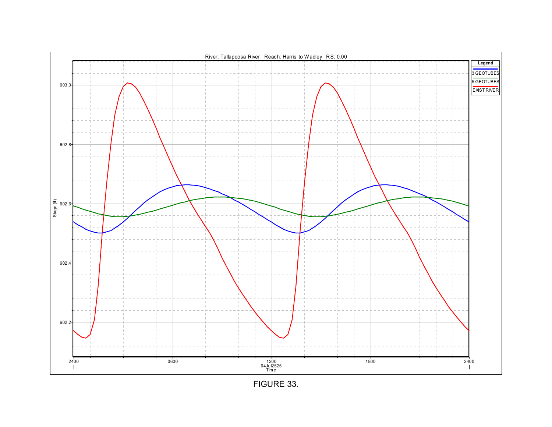## FIGURE 33.

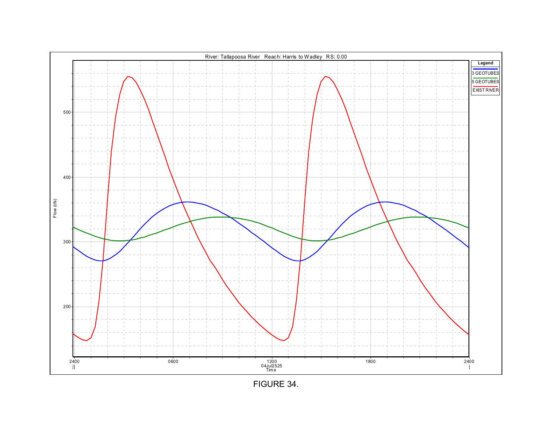

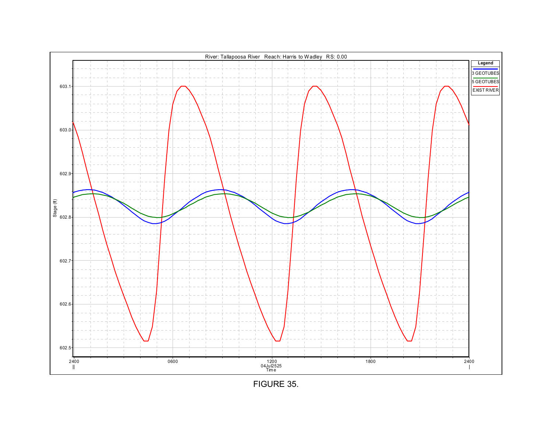## FIGURE 35.